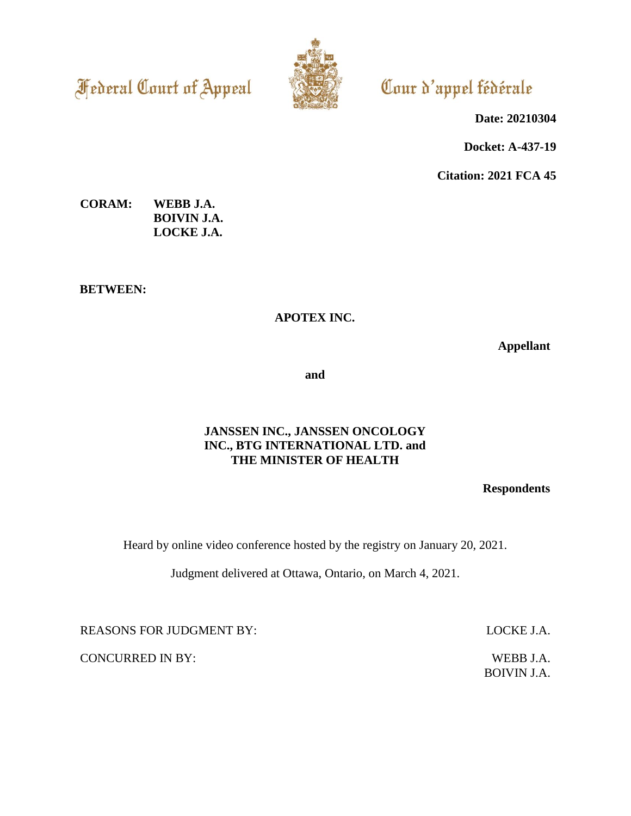**Federal Court of Appeal** 



Cour d'appel fédérale

**Date: 20210304**

**Docket: A-437-19**

**Citation: 2021 FCA 45**

**CORAM: WEBB J.A. BOIVIN J.A. LOCKE J.A.**

**BETWEEN:**

## **APOTEX INC.**

**Appellant**

**and**

## **JANSSEN INC., JANSSEN ONCOLOGY INC., BTG INTERNATIONAL LTD. and THE MINISTER OF HEALTH**

**Respondents**

Heard by online video conference hosted by the registry on January 20, 2021.

Judgment delivered at Ottawa, Ontario, on March 4, 2021.

REASONS FOR JUDGMENT BY: LOCKE J.A.

CONCURRED IN BY: WEBB J.A.

BOIVIN J.A.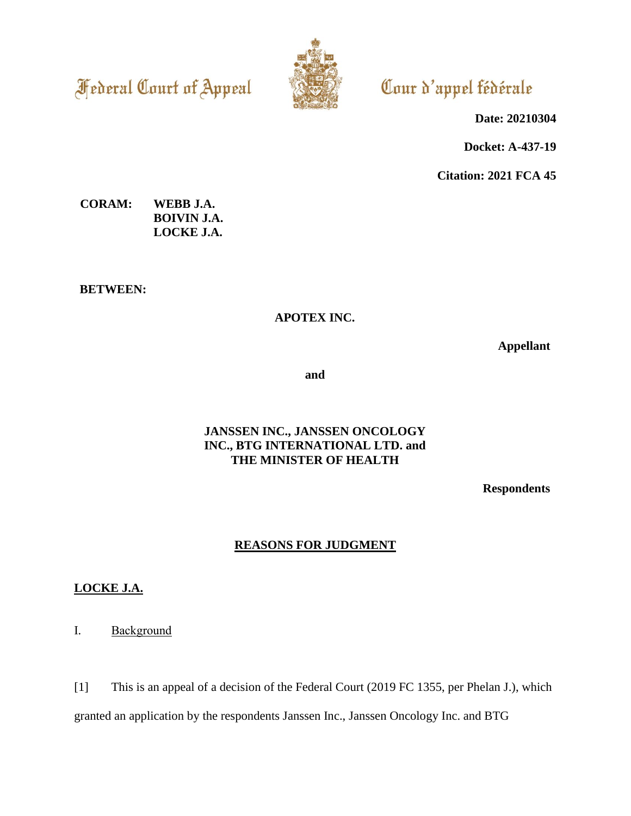**Federal Court of Appeal** 



# Cour d'appel fédérale

**Date: 20210304**

**Docket: A-437-19**

**Citation: 2021 FCA 45**

**CORAM: WEBB J.A. BOIVIN J.A. LOCKE J.A.**

**BETWEEN:**

# **APOTEX INC.**

**Appellant**

**and**

## **JANSSEN INC., JANSSEN ONCOLOGY INC., BTG INTERNATIONAL LTD. and THE MINISTER OF HEALTH**

**Respondents**

# **REASONS FOR JUDGMENT**

# **LOCKE J.A.**

I. Background

[1] This is an appeal of a decision of the Federal Court (2019 FC 1355, per Phelan J.), which granted an application by the respondents Janssen Inc., Janssen Oncology Inc. and BTG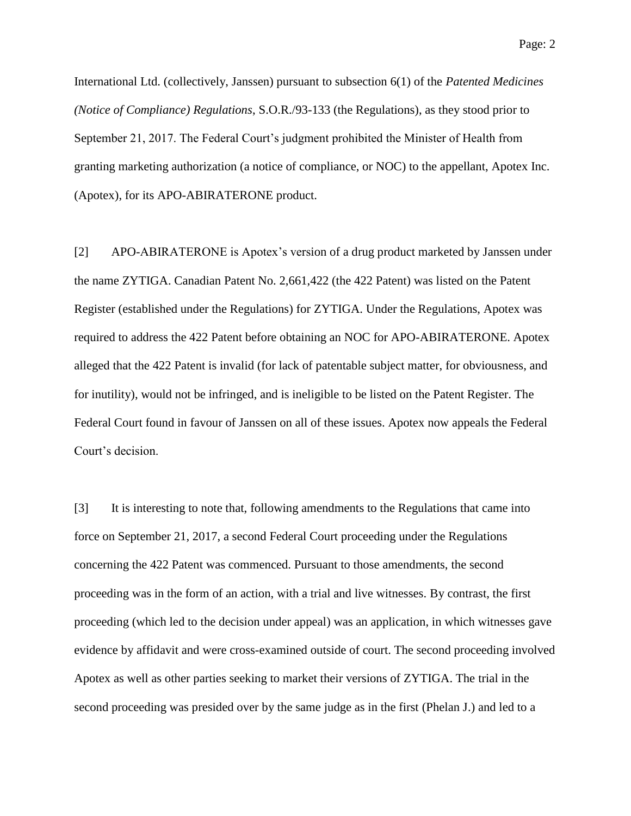International Ltd. (collectively, Janssen) pursuant to subsection 6(1) of the *Patented Medicines (Notice of Compliance) Regulations*, S.O.R./93-133 (the Regulations), as they stood prior to September 21, 2017. The Federal Court's judgment prohibited the Minister of Health from granting marketing authorization (a notice of compliance, or NOC) to the appellant, Apotex Inc. (Apotex), for its APO-ABIRATERONE product.

[2] APO-ABIRATERONE is Apotex's version of a drug product marketed by Janssen under the name ZYTIGA. Canadian Patent No. 2,661,422 (the 422 Patent) was listed on the Patent Register (established under the Regulations) for ZYTIGA. Under the Regulations, Apotex was required to address the 422 Patent before obtaining an NOC for APO-ABIRATERONE. Apotex alleged that the 422 Patent is invalid (for lack of patentable subject matter, for obviousness, and for inutility), would not be infringed, and is ineligible to be listed on the Patent Register. The Federal Court found in favour of Janssen on all of these issues. Apotex now appeals the Federal Court's decision.

[3] It is interesting to note that, following amendments to the Regulations that came into force on September 21, 2017, a second Federal Court proceeding under the Regulations concerning the 422 Patent was commenced. Pursuant to those amendments, the second proceeding was in the form of an action, with a trial and live witnesses. By contrast, the first proceeding (which led to the decision under appeal) was an application, in which witnesses gave evidence by affidavit and were cross-examined outside of court. The second proceeding involved Apotex as well as other parties seeking to market their versions of ZYTIGA. The trial in the second proceeding was presided over by the same judge as in the first (Phelan J.) and led to a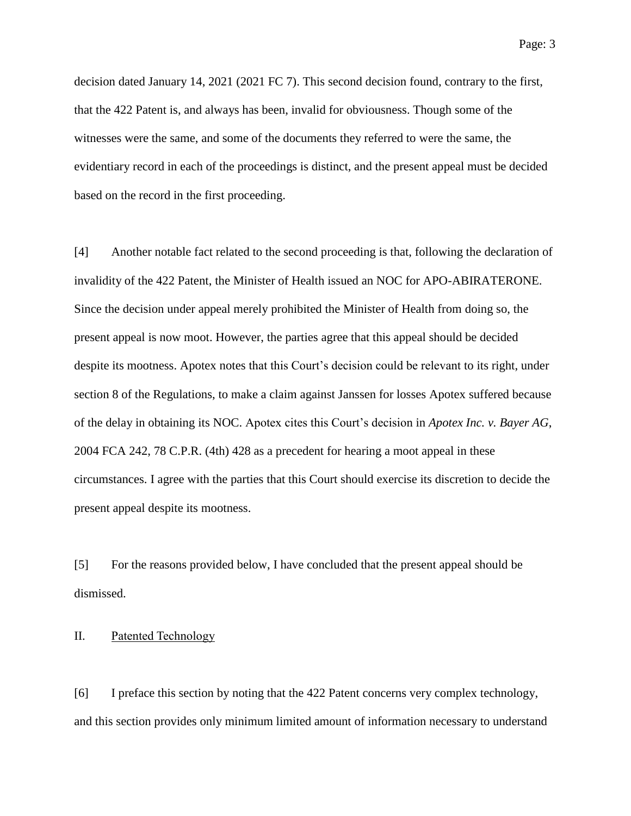decision dated January 14, 2021 (2021 FC 7). This second decision found, contrary to the first, that the 422 Patent is, and always has been, invalid for obviousness. Though some of the witnesses were the same, and some of the documents they referred to were the same, the evidentiary record in each of the proceedings is distinct, and the present appeal must be decided based on the record in the first proceeding.

[4] Another notable fact related to the second proceeding is that, following the declaration of invalidity of the 422 Patent, the Minister of Health issued an NOC for APO-ABIRATERONE. Since the decision under appeal merely prohibited the Minister of Health from doing so, the present appeal is now moot. However, the parties agree that this appeal should be decided despite its mootness. Apotex notes that this Court's decision could be relevant to its right, under section 8 of the Regulations, to make a claim against Janssen for losses Apotex suffered because of the delay in obtaining its NOC. Apotex cites this Court's decision in *Apotex Inc. v. Bayer AG*, 2004 FCA 242, 78 C.P.R. (4th) 428 as a precedent for hearing a moot appeal in these circumstances. I agree with the parties that this Court should exercise its discretion to decide the present appeal despite its mootness.

[5] For the reasons provided below, I have concluded that the present appeal should be dismissed.

#### II. Patented Technology

[6] I preface this section by noting that the 422 Patent concerns very complex technology, and this section provides only minimum limited amount of information necessary to understand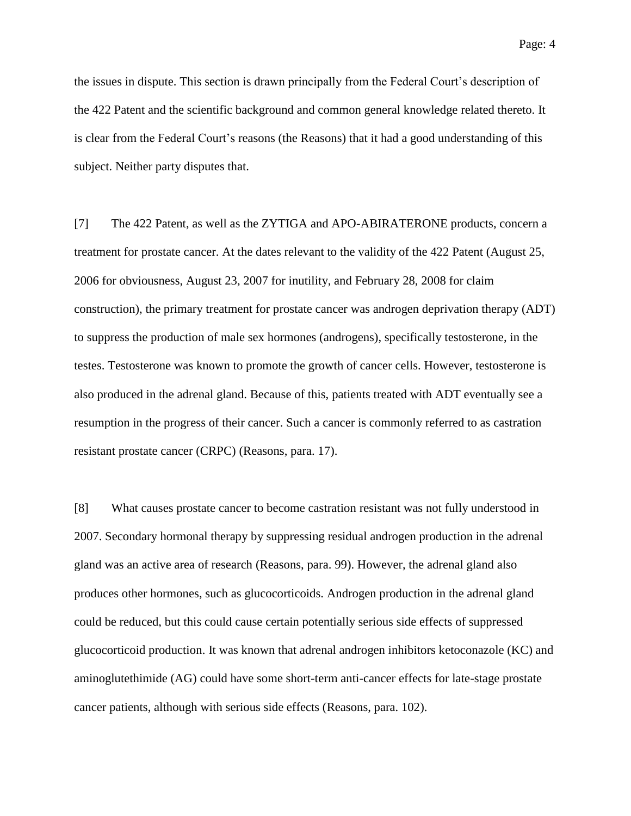the issues in dispute. This section is drawn principally from the Federal Court's description of the 422 Patent and the scientific background and common general knowledge related thereto. It is clear from the Federal Court's reasons (the Reasons) that it had a good understanding of this subject. Neither party disputes that.

[7] The 422 Patent, as well as the ZYTIGA and APO-ABIRATERONE products, concern a treatment for prostate cancer. At the dates relevant to the validity of the 422 Patent (August 25, 2006 for obviousness, August 23, 2007 for inutility, and February 28, 2008 for claim construction), the primary treatment for prostate cancer was androgen deprivation therapy (ADT) to suppress the production of male sex hormones (androgens), specifically testosterone, in the testes. Testosterone was known to promote the growth of cancer cells. However, testosterone is also produced in the adrenal gland. Because of this, patients treated with ADT eventually see a resumption in the progress of their cancer. Such a cancer is commonly referred to as castration resistant prostate cancer (CRPC) (Reasons, para. 17).

[8] What causes prostate cancer to become castration resistant was not fully understood in 2007. Secondary hormonal therapy by suppressing residual androgen production in the adrenal gland was an active area of research (Reasons, para. 99). However, the adrenal gland also produces other hormones, such as glucocorticoids. Androgen production in the adrenal gland could be reduced, but this could cause certain potentially serious side effects of suppressed glucocorticoid production. It was known that adrenal androgen inhibitors ketoconazole (KC) and aminoglutethimide (AG) could have some short-term anti-cancer effects for late-stage prostate cancer patients, although with serious side effects (Reasons, para. 102).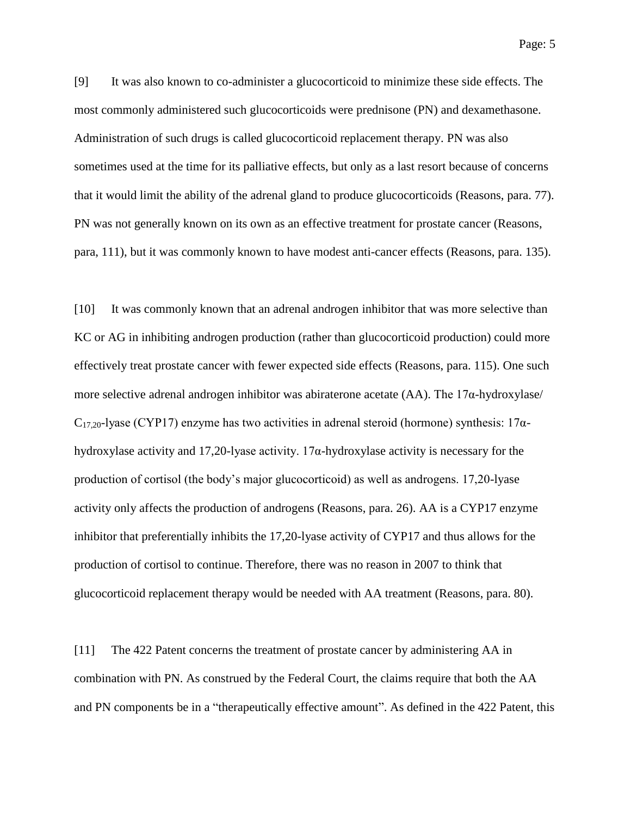[9] It was also known to co-administer a glucocorticoid to minimize these side effects. The most commonly administered such glucocorticoids were prednisone (PN) and dexamethasone. Administration of such drugs is called glucocorticoid replacement therapy. PN was also sometimes used at the time for its palliative effects, but only as a last resort because of concerns that it would limit the ability of the adrenal gland to produce glucocorticoids (Reasons, para. 77). PN was not generally known on its own as an effective treatment for prostate cancer (Reasons, para, 111), but it was commonly known to have modest anti-cancer effects (Reasons, para. 135).

[10] It was commonly known that an adrenal androgen inhibitor that was more selective than KC or AG in inhibiting androgen production (rather than glucocorticoid production) could more effectively treat prostate cancer with fewer expected side effects (Reasons, para. 115). One such more selective adrenal androgen inhibitor was abiraterone acetate (AA). The 17α-hydroxylase/  $C_{17,20}$ -lyase (CYP17) enzyme has two activities in adrenal steroid (hormone) synthesis: 17 $\alpha$ hydroxylase activity and 17,20-lyase activity.  $17\alpha$ -hydroxylase activity is necessary for the production of cortisol (the body's major glucocorticoid) as well as androgens. 17,20-lyase activity only affects the production of androgens (Reasons, para. 26). AA is a CYP17 enzyme inhibitor that preferentially inhibits the 17,20-lyase activity of CYP17 and thus allows for the production of cortisol to continue. Therefore, there was no reason in 2007 to think that glucocorticoid replacement therapy would be needed with AA treatment (Reasons, para. 80).

[11] The 422 Patent concerns the treatment of prostate cancer by administering AA in combination with PN. As construed by the Federal Court, the claims require that both the AA and PN components be in a "therapeutically effective amount". As defined in the 422 Patent, this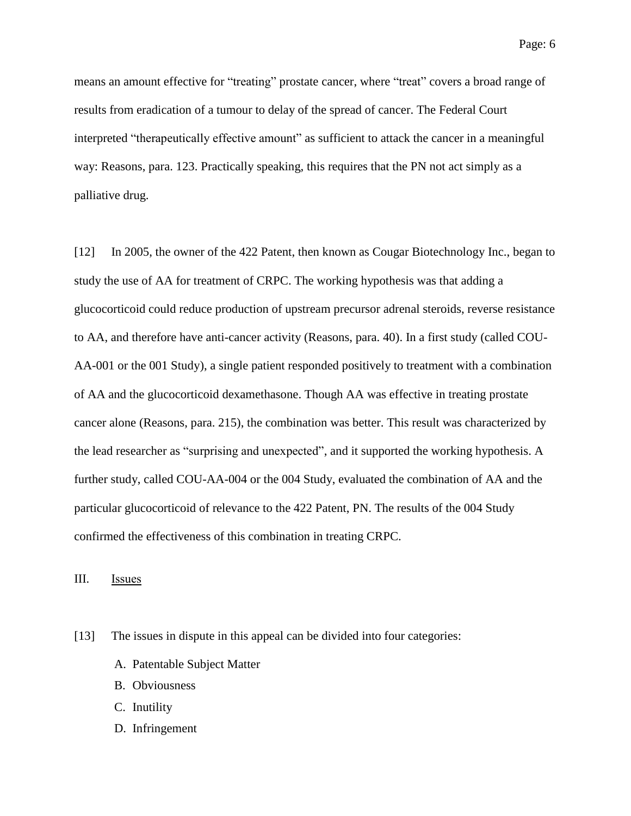means an amount effective for "treating" prostate cancer, where "treat" covers a broad range of results from eradication of a tumour to delay of the spread of cancer. The Federal Court interpreted "therapeutically effective amount" as sufficient to attack the cancer in a meaningful way: Reasons, para. 123. Practically speaking, this requires that the PN not act simply as a palliative drug.

[12] In 2005, the owner of the 422 Patent, then known as Cougar Biotechnology Inc., began to study the use of AA for treatment of CRPC. The working hypothesis was that adding a glucocorticoid could reduce production of upstream precursor adrenal steroids, reverse resistance to AA, and therefore have anti-cancer activity (Reasons, para. 40). In a first study (called COU-AA-001 or the 001 Study), a single patient responded positively to treatment with a combination of AA and the glucocorticoid dexamethasone. Though AA was effective in treating prostate cancer alone (Reasons, para. 215), the combination was better. This result was characterized by the lead researcher as "surprising and unexpected", and it supported the working hypothesis. A further study, called COU-AA-004 or the 004 Study, evaluated the combination of AA and the particular glucocorticoid of relevance to the 422 Patent, PN. The results of the 004 Study confirmed the effectiveness of this combination in treating CRPC.

III. Issues

- [13] The issues in dispute in this appeal can be divided into four categories:
	- A. Patentable Subject Matter
	- B. Obviousness
	- C. Inutility
	- D. Infringement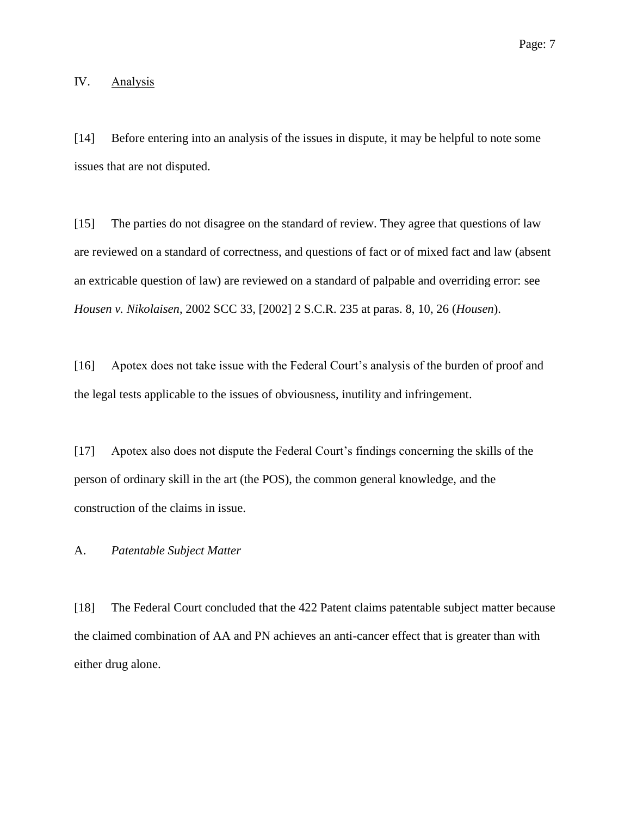#### IV. Analysis

[14] Before entering into an analysis of the issues in dispute, it may be helpful to note some issues that are not disputed.

[15] The parties do not disagree on the standard of review. They agree that questions of law are reviewed on a standard of correctness, and questions of fact or of mixed fact and law (absent an extricable question of law) are reviewed on a standard of palpable and overriding error: see *Housen v. Nikolaisen*, 2002 SCC 33, [2002] 2 S.C.R. 235 at paras. 8, 10, 26 (*Housen*).

[16] Apotex does not take issue with the Federal Court's analysis of the burden of proof and the legal tests applicable to the issues of obviousness, inutility and infringement.

[17] Apotex also does not dispute the Federal Court's findings concerning the skills of the person of ordinary skill in the art (the POS), the common general knowledge, and the construction of the claims in issue.

#### A. *Patentable Subject Matter*

[18] The Federal Court concluded that the 422 Patent claims patentable subject matter because the claimed combination of AA and PN achieves an anti-cancer effect that is greater than with either drug alone.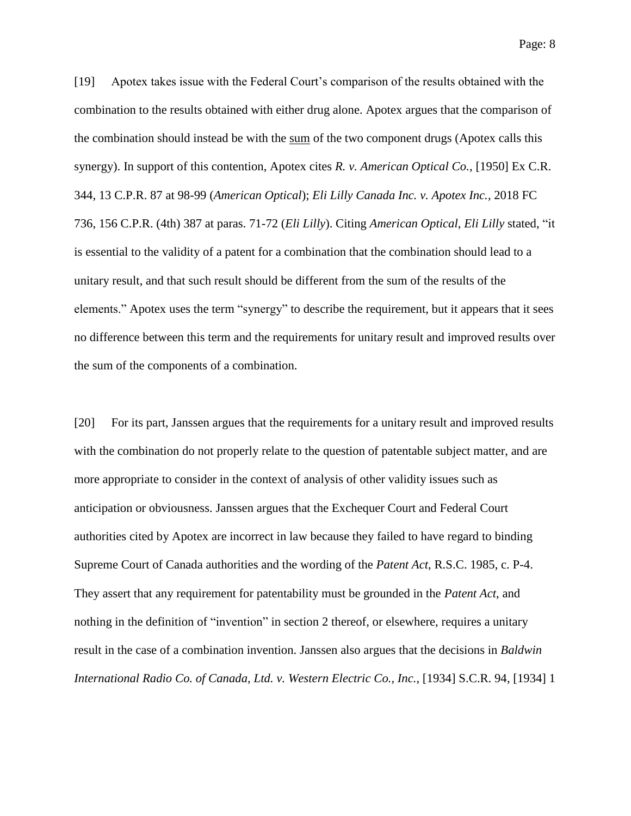[19] Apotex takes issue with the Federal Court's comparison of the results obtained with the combination to the results obtained with either drug alone. Apotex argues that the comparison of the combination should instead be with the sum of the two component drugs (Apotex calls this synergy). In support of this contention, Apotex cites *R. v. American Optical Co.*, [1950] Ex C.R. 344, 13 C.P.R. 87 at 98-99 (*American Optical*); *Eli Lilly Canada Inc. v. Apotex Inc.*, 2018 FC 736, 156 C.P.R. (4th) 387 at paras. 71-72 (*Eli Lilly*). Citing *American Optical*, *Eli Lilly* stated, "it is essential to the validity of a patent for a combination that the combination should lead to a unitary result, and that such result should be different from the sum of the results of the elements." Apotex uses the term "synergy" to describe the requirement, but it appears that it sees no difference between this term and the requirements for unitary result and improved results over the sum of the components of a combination.

[20] For its part, Janssen argues that the requirements for a unitary result and improved results with the combination do not properly relate to the question of patentable subject matter, and are more appropriate to consider in the context of analysis of other validity issues such as anticipation or obviousness. Janssen argues that the Exchequer Court and Federal Court authorities cited by Apotex are incorrect in law because they failed to have regard to binding Supreme Court of Canada authorities and the wording of the *Patent Act*, R.S.C. 1985, c. P-4. They assert that any requirement for patentability must be grounded in the *Patent Act*, and nothing in the definition of "invention" in section 2 thereof, or elsewhere, requires a unitary result in the case of a combination invention. Janssen also argues that the decisions in *Baldwin International Radio Co. of Canada, Ltd. v. Western Electric Co., Inc.*, [1934] S.C.R. 94, [1934] 1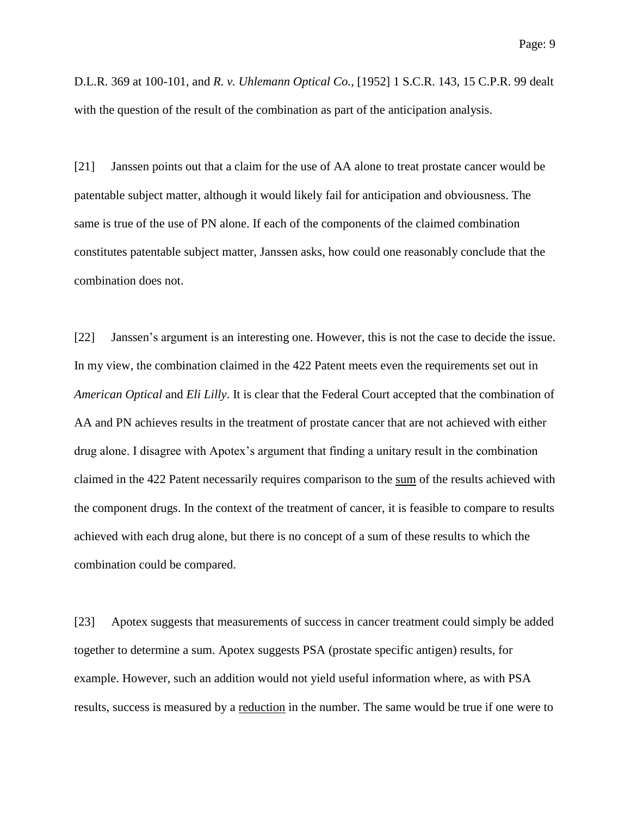D.L.R. 369 at 100-101, and *R. v. Uhlemann Optical Co.*, [1952] 1 S.C.R. 143, 15 C.P.R. 99 dealt with the question of the result of the combination as part of the anticipation analysis.

[21] Janssen points out that a claim for the use of AA alone to treat prostate cancer would be patentable subject matter, although it would likely fail for anticipation and obviousness. The same is true of the use of PN alone. If each of the components of the claimed combination constitutes patentable subject matter, Janssen asks, how could one reasonably conclude that the combination does not.

[22] Janssen's argument is an interesting one. However, this is not the case to decide the issue. In my view, the combination claimed in the 422 Patent meets even the requirements set out in *American Optical* and *Eli Lilly*. It is clear that the Federal Court accepted that the combination of AA and PN achieves results in the treatment of prostate cancer that are not achieved with either drug alone. I disagree with Apotex's argument that finding a unitary result in the combination claimed in the 422 Patent necessarily requires comparison to the sum of the results achieved with the component drugs. In the context of the treatment of cancer, it is feasible to compare to results achieved with each drug alone, but there is no concept of a sum of these results to which the combination could be compared.

[23] Apotex suggests that measurements of success in cancer treatment could simply be added together to determine a sum. Apotex suggests PSA (prostate specific antigen) results, for example. However, such an addition would not yield useful information where, as with PSA results, success is measured by a reduction in the number. The same would be true if one were to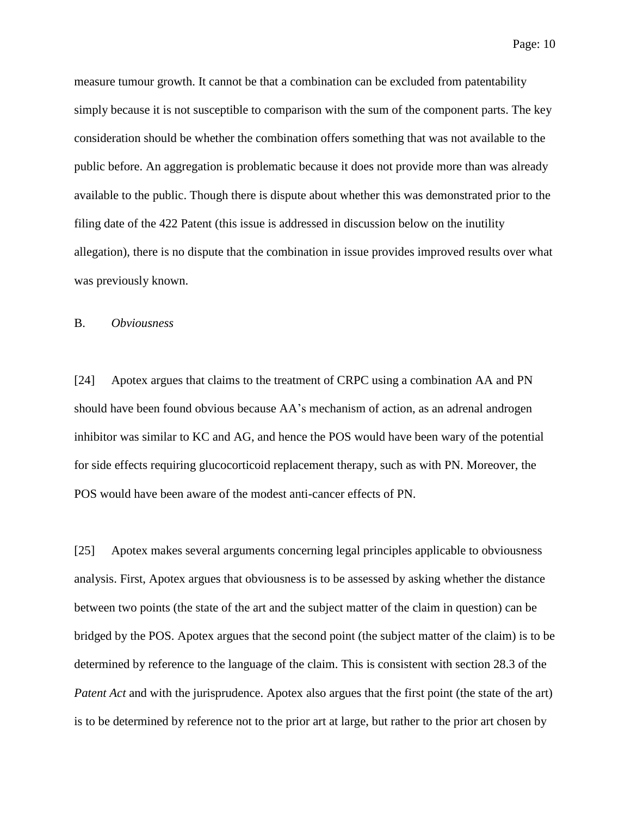measure tumour growth. It cannot be that a combination can be excluded from patentability simply because it is not susceptible to comparison with the sum of the component parts. The key consideration should be whether the combination offers something that was not available to the public before. An aggregation is problematic because it does not provide more than was already available to the public. Though there is dispute about whether this was demonstrated prior to the filing date of the 422 Patent (this issue is addressed in discussion below on the inutility allegation), there is no dispute that the combination in issue provides improved results over what was previously known.

#### B. *Obviousness*

[24] Apotex argues that claims to the treatment of CRPC using a combination AA and PN should have been found obvious because AA's mechanism of action, as an adrenal androgen inhibitor was similar to KC and AG, and hence the POS would have been wary of the potential for side effects requiring glucocorticoid replacement therapy, such as with PN. Moreover, the POS would have been aware of the modest anti-cancer effects of PN.

[25] Apotex makes several arguments concerning legal principles applicable to obviousness analysis. First, Apotex argues that obviousness is to be assessed by asking whether the distance between two points (the state of the art and the subject matter of the claim in question) can be bridged by the POS. Apotex argues that the second point (the subject matter of the claim) is to be determined by reference to the language of the claim. This is consistent with section 28.3 of the *Patent Act* and with the jurisprudence. Apotex also argues that the first point (the state of the art) is to be determined by reference not to the prior art at large, but rather to the prior art chosen by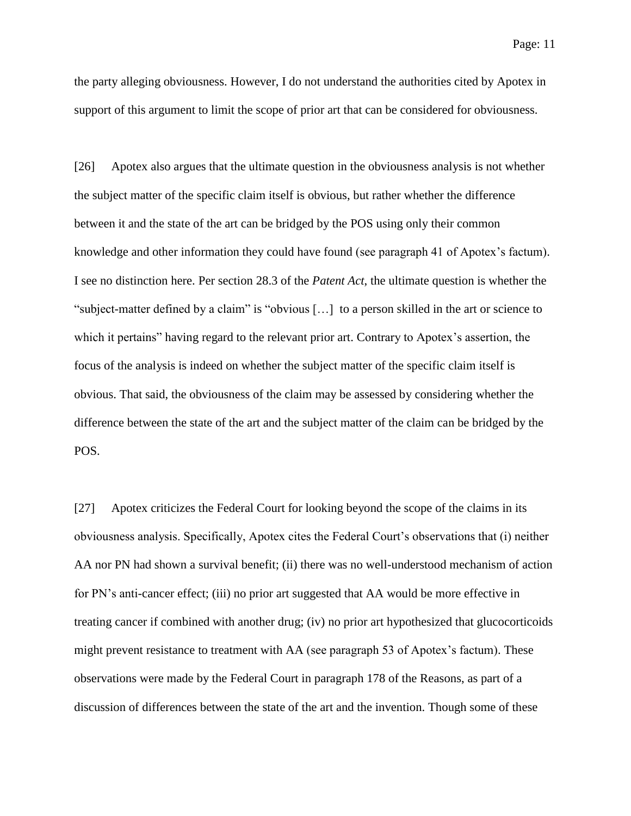the party alleging obviousness. However, I do not understand the authorities cited by Apotex in support of this argument to limit the scope of prior art that can be considered for obviousness.

[26] Apotex also argues that the ultimate question in the obviousness analysis is not whether the subject matter of the specific claim itself is obvious, but rather whether the difference between it and the state of the art can be bridged by the POS using only their common knowledge and other information they could have found (see paragraph 41 of Apotex's factum). I see no distinction here. Per section 28.3 of the *Patent Act*, the ultimate question is whether the "subject-matter defined by a claim" is "obvious […] to a person skilled in the art or science to which it pertains" having regard to the relevant prior art. Contrary to Apotex's assertion, the focus of the analysis is indeed on whether the subject matter of the specific claim itself is obvious. That said, the obviousness of the claim may be assessed by considering whether the difference between the state of the art and the subject matter of the claim can be bridged by the POS.

[27] Apotex criticizes the Federal Court for looking beyond the scope of the claims in its obviousness analysis. Specifically, Apotex cites the Federal Court's observations that (i) neither AA nor PN had shown a survival benefit; (ii) there was no well-understood mechanism of action for PN's anti-cancer effect; (iii) no prior art suggested that AA would be more effective in treating cancer if combined with another drug; (iv) no prior art hypothesized that glucocorticoids might prevent resistance to treatment with AA (see paragraph 53 of Apotex's factum). These observations were made by the Federal Court in paragraph 178 of the Reasons, as part of a discussion of differences between the state of the art and the invention. Though some of these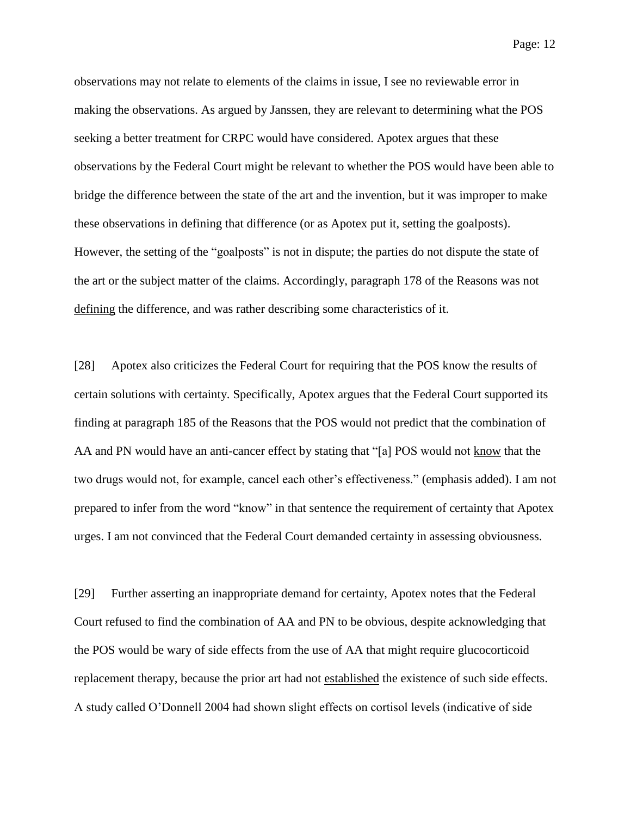observations may not relate to elements of the claims in issue, I see no reviewable error in making the observations. As argued by Janssen, they are relevant to determining what the POS seeking a better treatment for CRPC would have considered. Apotex argues that these observations by the Federal Court might be relevant to whether the POS would have been able to bridge the difference between the state of the art and the invention, but it was improper to make these observations in defining that difference (or as Apotex put it, setting the goalposts). However, the setting of the "goalposts" is not in dispute; the parties do not dispute the state of the art or the subject matter of the claims. Accordingly, paragraph 178 of the Reasons was not defining the difference, and was rather describing some characteristics of it.

[28] Apotex also criticizes the Federal Court for requiring that the POS know the results of certain solutions with certainty. Specifically, Apotex argues that the Federal Court supported its finding at paragraph 185 of the Reasons that the POS would not predict that the combination of AA and PN would have an anti-cancer effect by stating that "[a] POS would not know that the two drugs would not, for example, cancel each other's effectiveness." (emphasis added). I am not prepared to infer from the word "know" in that sentence the requirement of certainty that Apotex urges. I am not convinced that the Federal Court demanded certainty in assessing obviousness.

[29] Further asserting an inappropriate demand for certainty, Apotex notes that the Federal Court refused to find the combination of AA and PN to be obvious, despite acknowledging that the POS would be wary of side effects from the use of AA that might require glucocorticoid replacement therapy, because the prior art had not established the existence of such side effects. A study called O'Donnell 2004 had shown slight effects on cortisol levels (indicative of side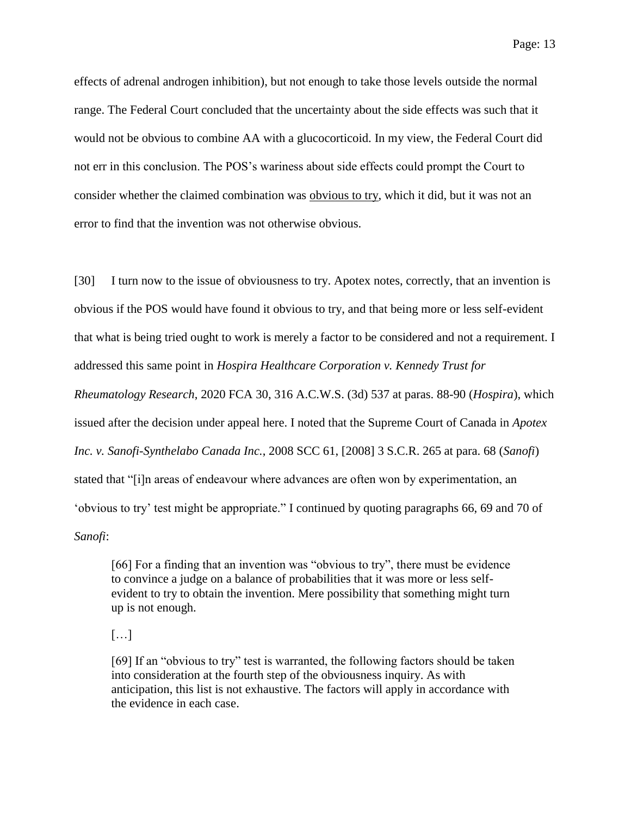effects of adrenal androgen inhibition), but not enough to take those levels outside the normal range. The Federal Court concluded that the uncertainty about the side effects was such that it would not be obvious to combine AA with a glucocorticoid. In my view, the Federal Court did not err in this conclusion. The POS's wariness about side effects could prompt the Court to consider whether the claimed combination was obvious to try, which it did, but it was not an error to find that the invention was not otherwise obvious.

[30] I turn now to the issue of obviousness to try. Apotex notes, correctly, that an invention is obvious if the POS would have found it obvious to try, and that being more or less self-evident that what is being tried ought to work is merely a factor to be considered and not a requirement. I addressed this same point in *Hospira Healthcare Corporation v. Kennedy Trust for Rheumatology Research*, 2020 FCA 30, 316 A.C.W.S. (3d) 537 at paras. 88-90 (*Hospira*), which issued after the decision under appeal here. I noted that the Supreme Court of Canada in *Apotex Inc. v. Sanofi-Synthelabo Canada Inc.*, 2008 SCC 61, [2008] 3 S.C.R. 265 at para. 68 (*Sanofi*) stated that "[i]n areas of endeavour where advances are often won by experimentation, an 'obvious to try' test might be appropriate." I continued by quoting paragraphs 66, 69 and 70 of *Sanofi*:

[66] For a finding that an invention was "obvious to try", there must be evidence to convince a judge on a balance of probabilities that it was more or less selfevident to try to obtain the invention. Mere possibility that something might turn up is not enough.

 $\lceil$ ...]

[69] If an "obvious to try" test is warranted, the following factors should be taken into consideration at the fourth step of the obviousness inquiry. As with anticipation, this list is not exhaustive. The factors will apply in accordance with the evidence in each case.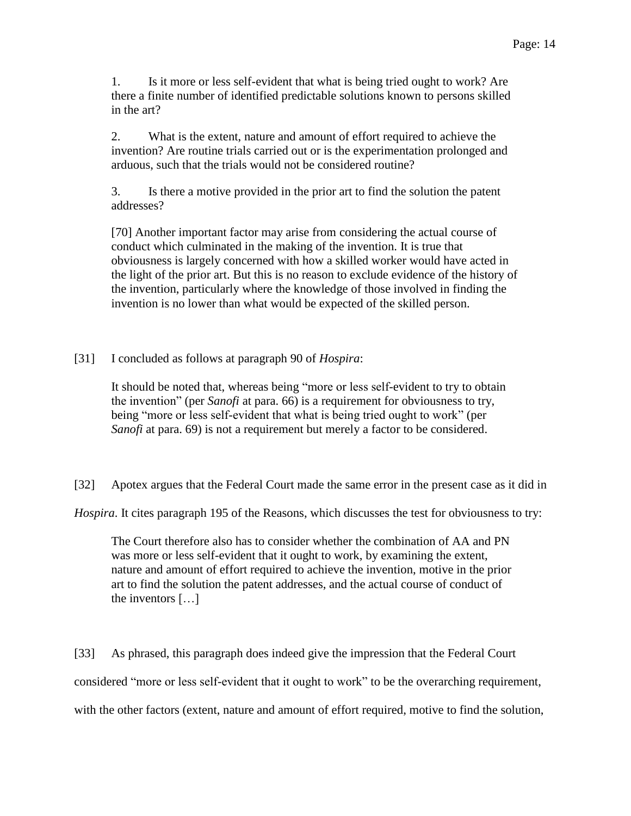1. Is it more or less self-evident that what is being tried ought to work? Are there a finite number of identified predictable solutions known to persons skilled in the art?

2. What is the extent, nature and amount of effort required to achieve the invention? Are routine trials carried out or is the experimentation prolonged and arduous, such that the trials would not be considered routine?

3. Is there a motive provided in the prior art to find the solution the patent addresses?

[70] Another important factor may arise from considering the actual course of conduct which culminated in the making of the invention. It is true that obviousness is largely concerned with how a skilled worker would have acted in the light of the prior art. But this is no reason to exclude evidence of the history of the invention, particularly where the knowledge of those involved in finding the invention is no lower than what would be expected of the skilled person.

[31] I concluded as follows at paragraph 90 of *Hospira*:

It should be noted that, whereas being "more or less self-evident to try to obtain the invention" (per *Sanofi* at para. 66) is a requirement for obviousness to try, being "more or less self-evident that what is being tried ought to work" (per *Sanofi* at para. 69) is not a requirement but merely a factor to be considered.

[32] Apotex argues that the Federal Court made the same error in the present case as it did in

*Hospira*. It cites paragraph 195 of the Reasons, which discusses the test for obviousness to try:

The Court therefore also has to consider whether the combination of AA and PN was more or less self-evident that it ought to work, by examining the extent, nature and amount of effort required to achieve the invention, motive in the prior art to find the solution the patent addresses, and the actual course of conduct of the inventors […]

[33] As phrased, this paragraph does indeed give the impression that the Federal Court considered "more or less self-evident that it ought to work" to be the overarching requirement, with the other factors (extent, nature and amount of effort required, motive to find the solution,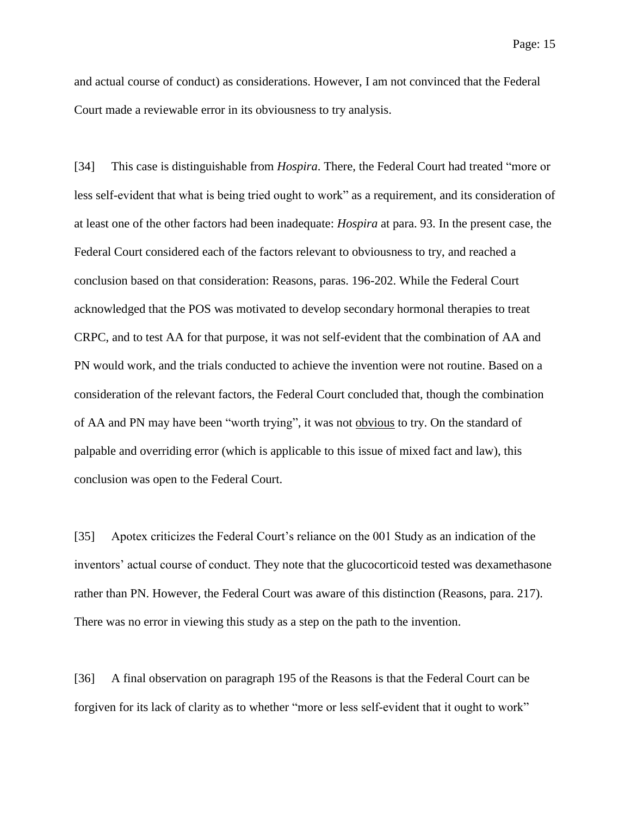and actual course of conduct) as considerations. However, I am not convinced that the Federal Court made a reviewable error in its obviousness to try analysis.

[34] This case is distinguishable from *Hospira*. There, the Federal Court had treated "more or less self-evident that what is being tried ought to work" as a requirement, and its consideration of at least one of the other factors had been inadequate: *Hospira* at para. 93. In the present case, the Federal Court considered each of the factors relevant to obviousness to try, and reached a conclusion based on that consideration: Reasons, paras. 196-202. While the Federal Court acknowledged that the POS was motivated to develop secondary hormonal therapies to treat CRPC, and to test AA for that purpose, it was not self-evident that the combination of AA and PN would work, and the trials conducted to achieve the invention were not routine. Based on a consideration of the relevant factors, the Federal Court concluded that, though the combination of AA and PN may have been "worth trying", it was not obvious to try. On the standard of palpable and overriding error (which is applicable to this issue of mixed fact and law), this conclusion was open to the Federal Court.

[35] Apotex criticizes the Federal Court's reliance on the 001 Study as an indication of the inventors' actual course of conduct. They note that the glucocorticoid tested was dexamethasone rather than PN. However, the Federal Court was aware of this distinction (Reasons, para. 217). There was no error in viewing this study as a step on the path to the invention.

[36] A final observation on paragraph 195 of the Reasons is that the Federal Court can be forgiven for its lack of clarity as to whether "more or less self-evident that it ought to work"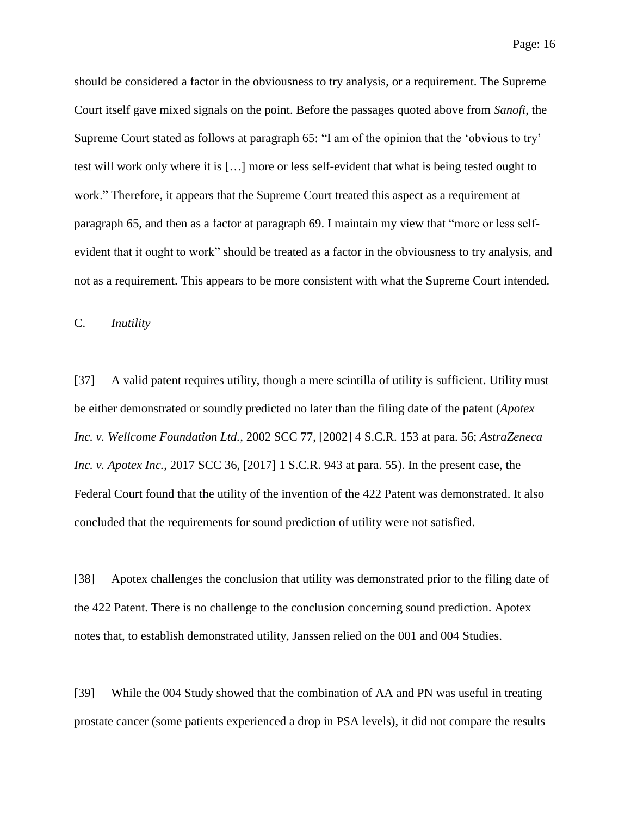should be considered a factor in the obviousness to try analysis, or a requirement. The Supreme Court itself gave mixed signals on the point. Before the passages quoted above from *Sanofi*, the Supreme Court stated as follows at paragraph 65: "I am of the opinion that the 'obvious to try' test will work only where it is […] more or less self-evident that what is being tested ought to work." Therefore, it appears that the Supreme Court treated this aspect as a requirement at paragraph 65, and then as a factor at paragraph 69. I maintain my view that "more or less selfevident that it ought to work" should be treated as a factor in the obviousness to try analysis, and not as a requirement. This appears to be more consistent with what the Supreme Court intended.

C. *Inutility*

[37] A valid patent requires utility, though a mere scintilla of utility is sufficient. Utility must be either demonstrated or soundly predicted no later than the filing date of the patent (*Apotex Inc. v. Wellcome Foundation Ltd.*, 2002 SCC 77, [2002] 4 S.C.R. 153 at para. 56; *AstraZeneca Inc. v. Apotex Inc.*, 2017 SCC 36, [2017] 1 S.C.R. 943 at para. 55). In the present case, the Federal Court found that the utility of the invention of the 422 Patent was demonstrated. It also concluded that the requirements for sound prediction of utility were not satisfied.

[38] Apotex challenges the conclusion that utility was demonstrated prior to the filing date of the 422 Patent. There is no challenge to the conclusion concerning sound prediction. Apotex notes that, to establish demonstrated utility, Janssen relied on the 001 and 004 Studies.

[39] While the 004 Study showed that the combination of AA and PN was useful in treating prostate cancer (some patients experienced a drop in PSA levels), it did not compare the results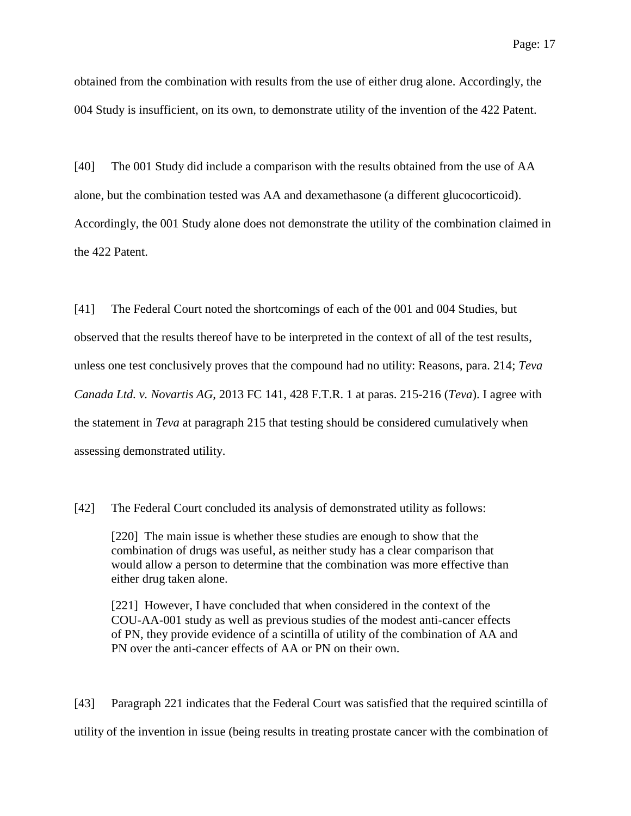obtained from the combination with results from the use of either drug alone. Accordingly, the 004 Study is insufficient, on its own, to demonstrate utility of the invention of the 422 Patent.

[40] The 001 Study did include a comparison with the results obtained from the use of AA alone, but the combination tested was AA and dexamethasone (a different glucocorticoid). Accordingly, the 001 Study alone does not demonstrate the utility of the combination claimed in the 422 Patent.

[41] The Federal Court noted the shortcomings of each of the 001 and 004 Studies, but observed that the results thereof have to be interpreted in the context of all of the test results, unless one test conclusively proves that the compound had no utility: Reasons, para. 214; *Teva Canada Ltd. v. Novartis AG*, 2013 FC 141, 428 F.T.R. 1 at paras. 215-216 (*Teva*). I agree with the statement in *Teva* at paragraph 215 that testing should be considered cumulatively when assessing demonstrated utility.

[42] The Federal Court concluded its analysis of demonstrated utility as follows:

[220] The main issue is whether these studies are enough to show that the combination of drugs was useful, as neither study has a clear comparison that would allow a person to determine that the combination was more effective than either drug taken alone.

[221] However, I have concluded that when considered in the context of the COU-AA-001 study as well as previous studies of the modest anti-cancer effects of PN, they provide evidence of a scintilla of utility of the combination of AA and PN over the anti-cancer effects of AA or PN on their own.

[43] Paragraph 221 indicates that the Federal Court was satisfied that the required scintilla of utility of the invention in issue (being results in treating prostate cancer with the combination of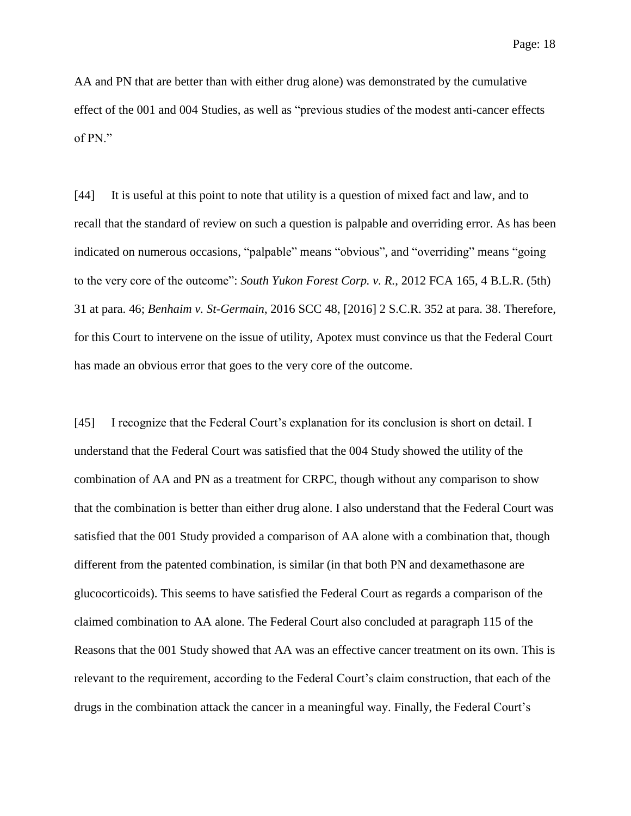AA and PN that are better than with either drug alone) was demonstrated by the cumulative effect of the 001 and 004 Studies, as well as "previous studies of the modest anti-cancer effects of PN."

[44] It is useful at this point to note that utility is a question of mixed fact and law, and to recall that the standard of review on such a question is palpable and overriding error. As has been indicated on numerous occasions, "palpable" means "obvious", and "overriding" means "going to the very core of the outcome": *South Yukon Forest Corp. v. R.*, 2012 FCA 165, 4 B.L.R. (5th) 31 at para. 46; *Benhaim v. St-Germain*, 2016 SCC 48, [2016] 2 S.C.R. 352 at para. 38. Therefore, for this Court to intervene on the issue of utility, Apotex must convince us that the Federal Court has made an obvious error that goes to the very core of the outcome.

[45] I recognize that the Federal Court's explanation for its conclusion is short on detail. I understand that the Federal Court was satisfied that the 004 Study showed the utility of the combination of AA and PN as a treatment for CRPC, though without any comparison to show that the combination is better than either drug alone. I also understand that the Federal Court was satisfied that the 001 Study provided a comparison of AA alone with a combination that, though different from the patented combination, is similar (in that both PN and dexamethasone are glucocorticoids). This seems to have satisfied the Federal Court as regards a comparison of the claimed combination to AA alone. The Federal Court also concluded at paragraph 115 of the Reasons that the 001 Study showed that AA was an effective cancer treatment on its own. This is relevant to the requirement, according to the Federal Court's claim construction, that each of the drugs in the combination attack the cancer in a meaningful way. Finally, the Federal Court's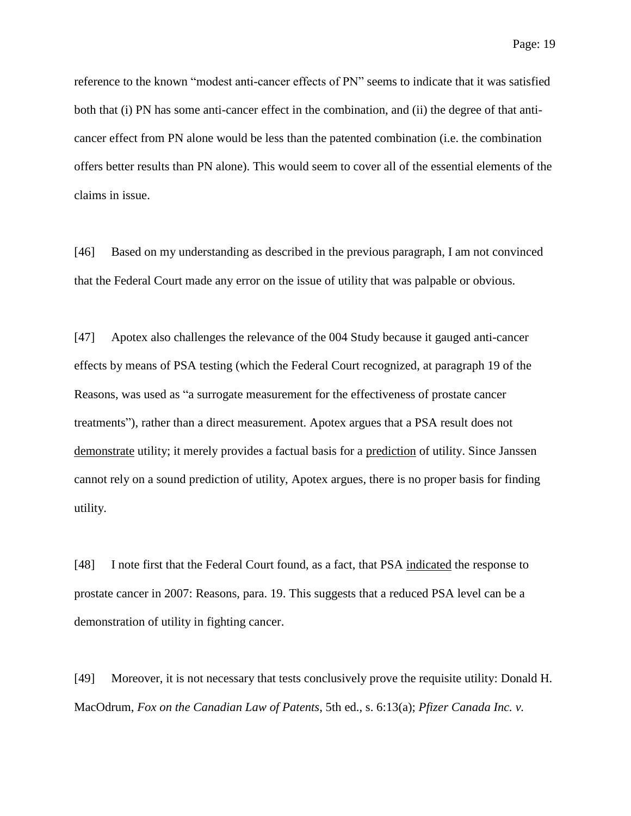reference to the known "modest anti-cancer effects of PN" seems to indicate that it was satisfied both that (i) PN has some anti-cancer effect in the combination, and (ii) the degree of that anticancer effect from PN alone would be less than the patented combination (i.e. the combination offers better results than PN alone). This would seem to cover all of the essential elements of the claims in issue.

[46] Based on my understanding as described in the previous paragraph, I am not convinced that the Federal Court made any error on the issue of utility that was palpable or obvious.

[47] Apotex also challenges the relevance of the 004 Study because it gauged anti-cancer effects by means of PSA testing (which the Federal Court recognized, at paragraph 19 of the Reasons, was used as "a surrogate measurement for the effectiveness of prostate cancer treatments"), rather than a direct measurement. Apotex argues that a PSA result does not demonstrate utility; it merely provides a factual basis for a prediction of utility. Since Janssen cannot rely on a sound prediction of utility, Apotex argues, there is no proper basis for finding utility.

[48] I note first that the Federal Court found, as a fact, that PSA indicated the response to prostate cancer in 2007: Reasons, para. 19. This suggests that a reduced PSA level can be a demonstration of utility in fighting cancer.

[49] Moreover, it is not necessary that tests conclusively prove the requisite utility: Donald H. MacOdrum, *Fox on the Canadian Law of Patents*, 5th ed., s. 6:13(a); *Pfizer Canada Inc. v.*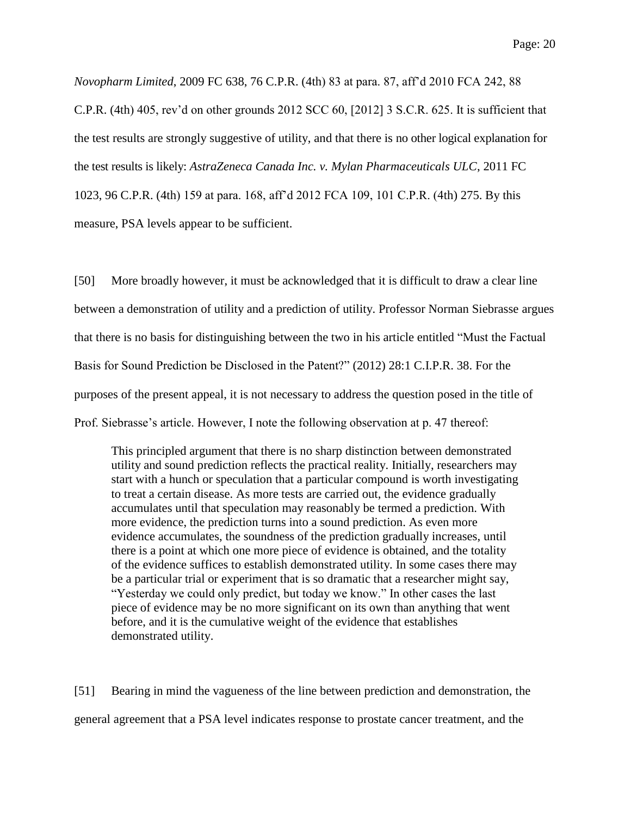*Novopharm Limited*, 2009 FC 638, 76 C.P.R. (4th) 83 at para. 87, aff'd 2010 FCA 242, 88 C.P.R. (4th) 405, rev'd on other grounds 2012 SCC 60, [2012] 3 S.C.R. 625. It is sufficient that the test results are strongly suggestive of utility, and that there is no other logical explanation for the test results is likely: *AstraZeneca Canada Inc. v. Mylan Pharmaceuticals ULC*, 2011 FC 1023, 96 C.P.R. (4th) 159 at para. 168, aff'd 2012 FCA 109, 101 C.P.R. (4th) 275. By this measure, PSA levels appear to be sufficient.

[50] More broadly however, it must be acknowledged that it is difficult to draw a clear line between a demonstration of utility and a prediction of utility. Professor Norman Siebrasse argues that there is no basis for distinguishing between the two in his article entitled "Must the Factual Basis for Sound Prediction be Disclosed in the Patent?" (2012) 28:1 C.I.P.R. 38. For the purposes of the present appeal, it is not necessary to address the question posed in the title of Prof. Siebrasse's article. However, I note the following observation at p. 47 thereof:

This principled argument that there is no sharp distinction between demonstrated utility and sound prediction reflects the practical reality. Initially, researchers may start with a hunch or speculation that a particular compound is worth investigating to treat a certain disease. As more tests are carried out, the evidence gradually accumulates until that speculation may reasonably be termed a prediction. With more evidence, the prediction turns into a sound prediction. As even more evidence accumulates, the soundness of the prediction gradually increases, until there is a point at which one more piece of evidence is obtained, and the totality of the evidence suffices to establish demonstrated utility. In some cases there may be a particular trial or experiment that is so dramatic that a researcher might say, "Yesterday we could only predict, but today we know." In other cases the last piece of evidence may be no more significant on its own than anything that went before, and it is the cumulative weight of the evidence that establishes demonstrated utility.

[51] Bearing in mind the vagueness of the line between prediction and demonstration, the general agreement that a PSA level indicates response to prostate cancer treatment, and the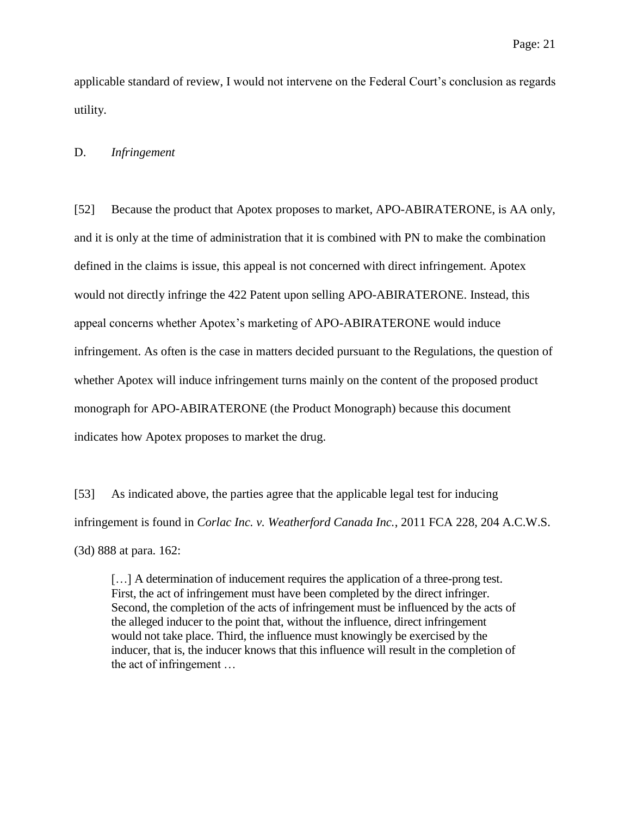applicable standard of review, I would not intervene on the Federal Court's conclusion as regards utility.

#### D. *Infringement*

[52] Because the product that Apotex proposes to market, APO-ABIRATERONE, is AA only, and it is only at the time of administration that it is combined with PN to make the combination defined in the claims is issue, this appeal is not concerned with direct infringement. Apotex would not directly infringe the 422 Patent upon selling APO-ABIRATERONE. Instead, this appeal concerns whether Apotex's marketing of APO-ABIRATERONE would induce infringement. As often is the case in matters decided pursuant to the Regulations, the question of whether Apotex will induce infringement turns mainly on the content of the proposed product monograph for APO-ABIRATERONE (the Product Monograph) because this document indicates how Apotex proposes to market the drug.

[53] As indicated above, the parties agree that the applicable legal test for inducing infringement is found in *Corlac Inc. v. Weatherford Canada Inc.*, 2011 FCA 228, 204 A.C.W.S. (3d) 888 at para. 162:

[...] A determination of inducement requires the application of a three-prong test. First, the act of infringement must have been completed by the direct infringer. Second, the completion of the acts of infringement must be influenced by the acts of the alleged inducer to the point that, without the influence, direct infringement would not take place. Third, the influence must knowingly be exercised by the inducer, that is, the inducer knows that this influence will result in the completion of the act of infringement …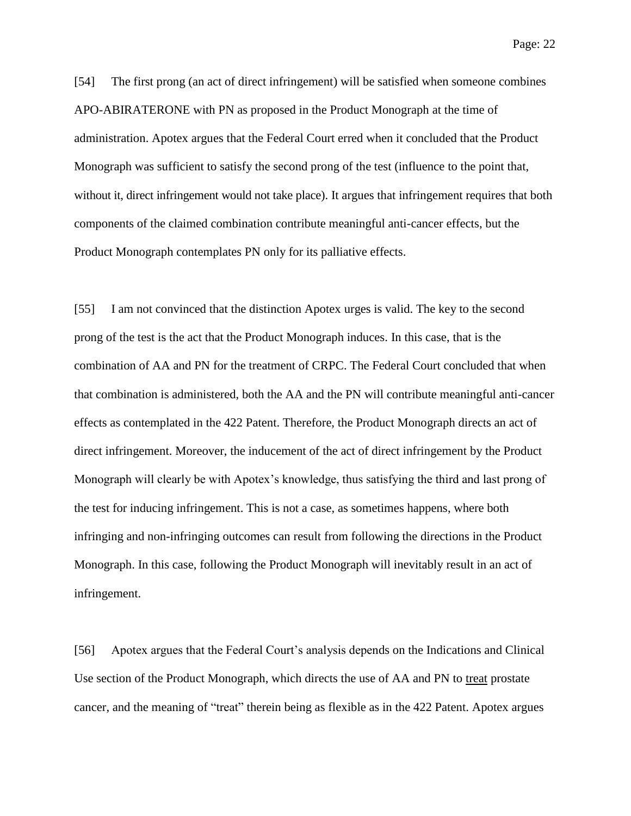[54] The first prong (an act of direct infringement) will be satisfied when someone combines APO-ABIRATERONE with PN as proposed in the Product Monograph at the time of administration. Apotex argues that the Federal Court erred when it concluded that the Product Monograph was sufficient to satisfy the second prong of the test (influence to the point that, without it, direct infringement would not take place). It argues that infringement requires that both components of the claimed combination contribute meaningful anti-cancer effects, but the Product Monograph contemplates PN only for its palliative effects.

[55] I am not convinced that the distinction Apotex urges is valid. The key to the second prong of the test is the act that the Product Monograph induces. In this case, that is the combination of AA and PN for the treatment of CRPC. The Federal Court concluded that when that combination is administered, both the AA and the PN will contribute meaningful anti-cancer effects as contemplated in the 422 Patent. Therefore, the Product Monograph directs an act of direct infringement. Moreover, the inducement of the act of direct infringement by the Product Monograph will clearly be with Apotex's knowledge, thus satisfying the third and last prong of the test for inducing infringement. This is not a case, as sometimes happens, where both infringing and non-infringing outcomes can result from following the directions in the Product Monograph. In this case, following the Product Monograph will inevitably result in an act of infringement.

[56] Apotex argues that the Federal Court's analysis depends on the Indications and Clinical Use section of the Product Monograph, which directs the use of AA and PN to treat prostate cancer, and the meaning of "treat" therein being as flexible as in the 422 Patent. Apotex argues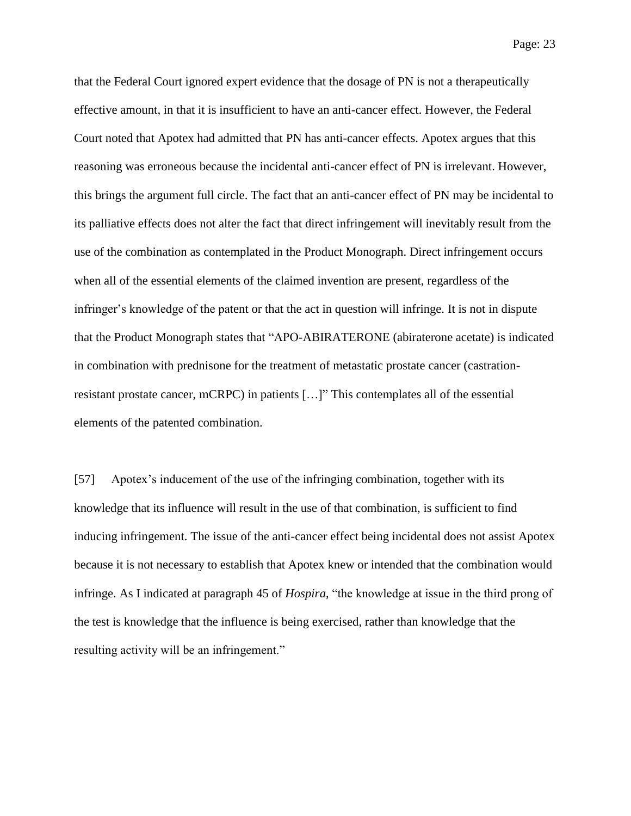that the Federal Court ignored expert evidence that the dosage of PN is not a therapeutically effective amount, in that it is insufficient to have an anti-cancer effect. However, the Federal Court noted that Apotex had admitted that PN has anti-cancer effects. Apotex argues that this reasoning was erroneous because the incidental anti-cancer effect of PN is irrelevant. However, this brings the argument full circle. The fact that an anti-cancer effect of PN may be incidental to its palliative effects does not alter the fact that direct infringement will inevitably result from the use of the combination as contemplated in the Product Monograph. Direct infringement occurs when all of the essential elements of the claimed invention are present, regardless of the infringer's knowledge of the patent or that the act in question will infringe. It is not in dispute that the Product Monograph states that "APO-ABIRATERONE (abiraterone acetate) is indicated in combination with prednisone for the treatment of metastatic prostate cancer (castrationresistant prostate cancer, mCRPC) in patients […]" This contemplates all of the essential elements of the patented combination.

[57] Apotex's inducement of the use of the infringing combination, together with its knowledge that its influence will result in the use of that combination, is sufficient to find inducing infringement. The issue of the anti-cancer effect being incidental does not assist Apotex because it is not necessary to establish that Apotex knew or intended that the combination would infringe. As I indicated at paragraph 45 of *Hospira*, "the knowledge at issue in the third prong of the test is knowledge that the influence is being exercised, rather than knowledge that the resulting activity will be an infringement."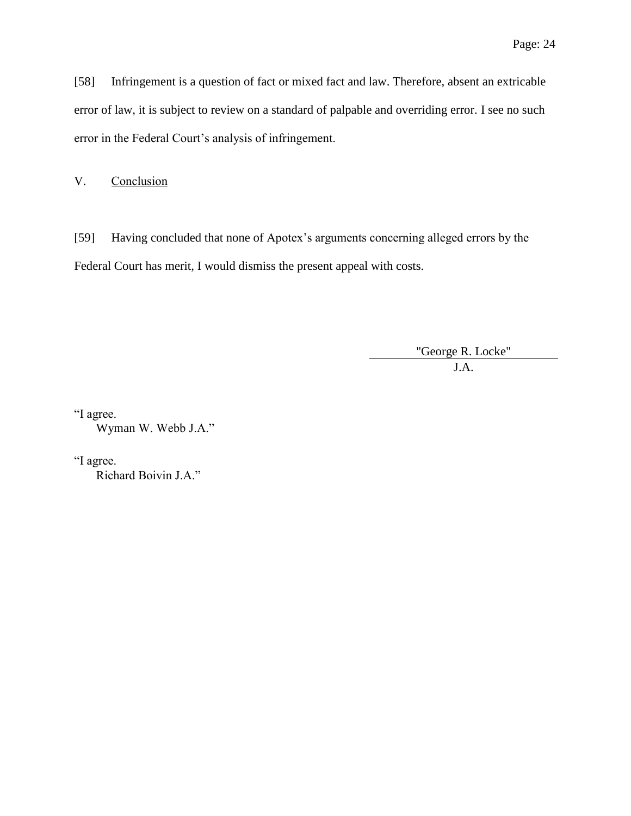[58] Infringement is a question of fact or mixed fact and law. Therefore, absent an extricable error of law, it is subject to review on a standard of palpable and overriding error. I see no such error in the Federal Court's analysis of infringement.

V. Conclusion

[59] Having concluded that none of Apotex's arguments concerning alleged errors by the Federal Court has merit, I would dismiss the present appeal with costs.

"George R. Locke"

J.A.

"I agree. Wyman W. Webb J.A."

"I agree.

Richard Boivin J.A."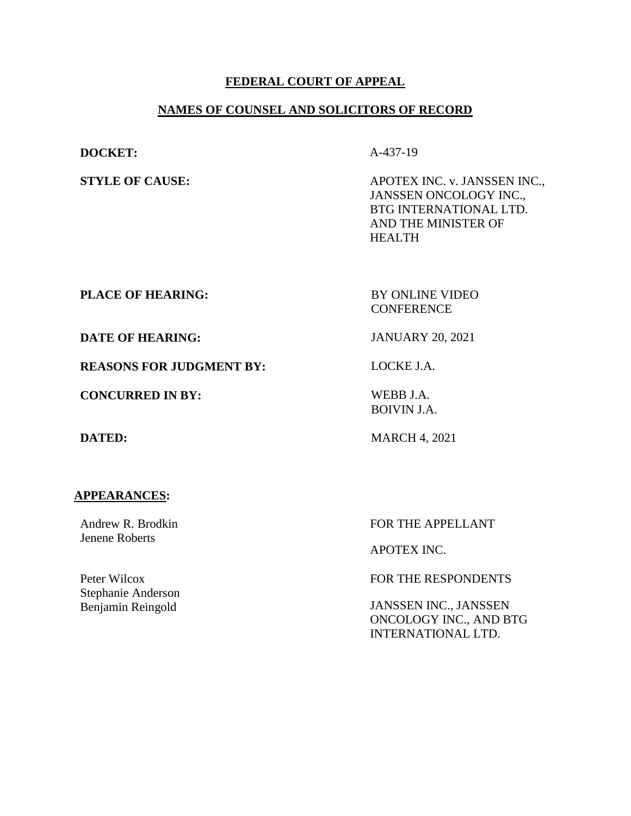#### **FEDERAL COURT OF APPEAL**

#### **NAMES OF COUNSEL AND SOLICITORS OF RECORD**

**DOCKET:** A-437-19

**STYLE OF CAUSE:** APOTEX INC. v. JANSSEN INC., JANSSEN ONCOLOGY INC., BTG INTERNATIONAL LTD. AND THE MINISTER OF HEALTH

**PLACE OF HEARING:** BY ONLINE VIDEO

**CONFERENCE** 

**DATE OF HEARING:** JANUARY 20, 2021

**REASONS FOR JUDGMENT BY:** LOCKE J.A.

**CONCURRED IN BY:** WEBB J.A.

BOIVIN J.A.

**DATED:** MARCH 4, 2021

#### **APPEARANCES:**

Andrew R. Brodkin Jenene Roberts

Peter Wilcox Stephanie Anderson Benjamin Reingold

FOR THE APPELLANT

APOTEX INC.

FOR THE RESPONDENTS

JANSSEN INC., JANSSEN ONCOLOGY INC., AND BTG INTERNATIONAL LTD.